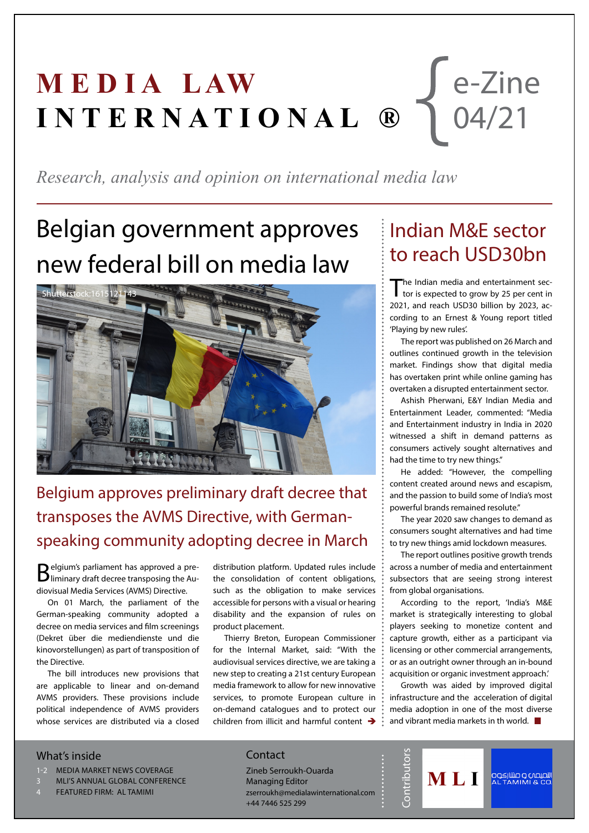#### **MEDIA LAW I N T E R N A T I O N A L ®** e-Zine 04/21

*Research, analysis and opinion on international media law*

### Belgian government approves new federal bill on media law



#### Belgium approves preliminary draft decree that transposes the AVMS Directive, with Germanspeaking community adopting decree in March

Belgium's parliament has approved a pre-liminary draft decree transposing the Audiovisual Media Services (AVMS) Directive.

On 01 March, the parliament of the German-speaking community adopted a decree on media services and film screenings (Dekret über die mediendienste und die kinovorstellungen) as part of transposition of the Directive.

The bill introduces new provisions that are applicable to linear and on-demand AVMS providers. These provisions include political independence of AVMS providers whose services are distributed via a closed

distribution platform. Updated rules include the consolidation of content obligations, such as the obligation to make services accessible for persons with a visual or hearing disability and the expansion of rules on product placement.

Thierry Breton, European Commissioner for the Internal Market, said: "With the audiovisual services directive, we are taking a new step to creating a 21st century European media framework to allow for new innovative services, to promote European culture in on-demand catalogues and to protect our children from illicit and harmful content  $\rightarrow$ 

#### Indian M&E sector to reach USD30bn

The Indian media and entertainment sector is expected to grow by 25 per cent in 2021, and reach USD30 billion by 2023, according to an Ernest & Young report titled 'Playing by new rules'.

The report was published on 26 March and outlines continued growth in the television market. Findings show that digital media has overtaken print while online gaming has overtaken a disrupted entertainment sector.

Ashish Pherwani, E&Y Indian Media and Entertainment Leader, commented: "Media and Entertainment industry in India in 2020 witnessed a shift in demand patterns as consumers actively sought alternatives and had the time to try new things."

He added: "However, the compelling content created around news and escapism, and the passion to build some of India's most powerful brands remained resolute."

The year 2020 saw changes to demand as consumers sought alternatives and had time to try new things amid lockdown measures.

The report outlines positive growth trends across a number of media and entertainment subsectors that are seeing strong interest from global organisations.

According to the report, 'India's M&E market is strategically interesting to global players seeking to monetize content and capture growth, either as a participant via licensing or other commercial arrangements, or as an outright owner through an in-bound acquisition or organic investment approach.'

Growth was aided by improved digital infrastructure and the acceleration of digital media adoption in one of the most diverse and vibrant media markets in th world.  $\blacksquare$ 

MLI

التصيصي و صنتارڪوه<br>AL TAMIMI & CO.

**Contributors** 

Contributo

#### What's inside

- 1-2 MEDIA MARKET NEWS COVERAGE
- MLI'S ANNUAL GLOBAL CONFERENCE
- FEATURED FIRM: AL TAMIMI

#### **Contact**

Zineb Serroukh-Ouarda Managing Editor zserroukh@medialawinternational.com +44 7446 525 299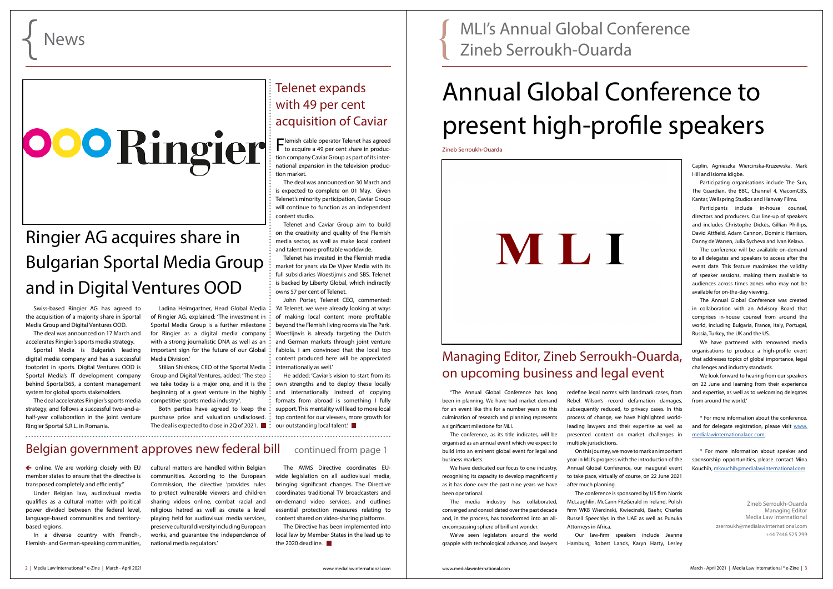$\leftarrow$  online. We are working closely with EU member states to ensure that the directive is transposed completely and efficiently."

# **OOO** Ringier

Under Belgian law, audiovisual media qualifies as a cultural matter with political power divided between the federal level, language-based communities and territorybased regions.

In a diverse country with French-, Flemish- and German-speaking communities,

The Directive has been implemented into local law by Member States in the lead up to the 2020 deadline

cultural matters are handled within Belgian communities. According to the European Commission, the directive 'provides rules to protect vulnerable viewers and children sharing videos online, combat racial and religious hatred as well as create a level playing field for audiovisual media services, preserve cultural diversity including European works, and guarantee the independence of national media regulators.'

Sportal Media is Bulgaria's leading digital media company and has a successful footprint in sports. Digital Ventures OOD is Sportal Media's IT development company behind Sportal365, a content management system for global sports stakeholders.

> The AVMS Directive coordinates EUwide legislation on all audiovisual media, bringing significant changes. The Directive coordinates traditional TV broadcasters and on-demand video services, and outlines essential protection measures relating to content shared on video-sharing platforms.

Both parties have agreed to keep the purchase price and valuation undisclosed.  $\ddot{\cdot}$ The deal is expected to close in 2Q of 2021.  $\blacksquare$ :

### Ringier AG acquires share in Bulgarian Sportal Media Group and in Digital Ventures OOD

Swiss-based Ringier AG has agreed to the acquisition of a majority share in Sportal Media Group and Digital Ventures OOD.

The deal was announced on 17 March and accelerates Ringier's sports media strategy.

> He added: 'Caviar's vision to start from its own strengths and to deploy these locally and internationally instead of copying formats from abroad is something I fully support. This mentality will lead to more local top content for our viewers, more growth for our outstanding local talent.'

#### Belgian government approves new federal bill continued from page 1

The deal accelerates Ringier's sports media strategy, and follows a successful two-and-ahalf-year collaboration in the joint venture Ringier Sportal S.R.L. in Romania.

Ladina Heimgartner, Head Global Media of Ringier AG, explained: 'The investment in Sportal Media Group is a further milestone for Ringier as a digital media company with a strong journalistic DNA as well as an important sign for the future of our Global: Media Division.'

Stilian Shishkov, CEO of the Sportal Media Group and Digital Ventures, added: 'The step we take today is a major one, and it is the beginning of a great venture in the highly competitive sports media industry '.

#### Telenet expands with 49 per cent acquisition of Caviar

Flemish cable operator Telenet has agreed to acquire a 49 per cent share in production company Caviar Group as part of its international expansion in the television production market.

The deal was announced on 30 March and is expected to complete on 01 May. Given Telenet's minority participation, Caviar Group will continue to function as an independent content studio.

Telenet and Caviar Group aim to build on the creativity and quality of the Flemish media sector, as well as make local content and talent more profitable worldwide.

Telenet has invested in the Flemish media market for years via De Vijver Media with its full subsidiaries Woestijnvis and SBS. Telenet is backed by Liberty Global, which indirectly owns 57 per cent of Telenet.

> We look forward to hearing from our speakers on 22 June and learning from their experience and expertise, as well as to welcoming delegates from around the world."

John Porter, Telenet CEO, commented: 'At Telenet, we were already looking at ways of making local content more profitable beyond the Flemish living rooms via The Park. Woestijnvis is already targeting the Dutch and German markets through joint venture Fabiola. I am convinced that the local top content produced here will be appreciated internationally as well.'

MLI's Annual Global Conference Zineb Serroukh-Ouarda

"The Annual Global Conference has long been in planning. We have had market demand for an event like this for a number years so this culmination of research and planning represents a significant milestone for MLI.

The conference, as its title indicates, will be organised as an annual event which we expect to build into an eminent global event for legal and business markets.

We have dedicated our focus to one industry, recognising its capacity to develop magnificently as it has done over the past nine years we have been operational.

The media industry has collaborated, converged and consolidated over the past decade and, in the process, has transformed into an allencompassing sphere of brilliant wonder.

We've seen legislators around the world grapple with technological advance, and lawyers

redefine legal norms with landmark cases, from Rebel Wilson's record defamation damages, subsequently reduced, to privacy cases. In this process of change, we have highlighted worldleading lawyers and their expertise as well as presented content on market challenges in multiple jurisdictions.

On this journey, we move to mark an important year in MLI's progress with the introduction of the Annual Global Conference, our inaugural event to take pace, virtually of course, on 22 June 2021 after much planning.

The conference is sponsored by US firm Norris McLaughlin, McCann FitzGerald in Ireland, Polish firm WKB Wiercinski, Kwiecinski, Baehr, Charles Russell Speechlys in the UAE as well as Punuka Attorneys in Africa.

Our law-firm speakers include Jeanne Hamburg, Robert Lands, Karyn Harty, Lesley Caplin, Agnieszka Wiercińska-Krużewska, Mark Hill and Isioma Idigbe.

Participating organisations include The Sun, The Guardian, the BBC, Channel 4, ViacomCBS, Kantar, Wellspring Studios and Hanway Films.

Participants include in-house counsel, directors and producers. Our line-up of speakers and includes Christophe Dickès, Gillian Phillips, David Attfield, Adam Cannon, Dominic Harrison, Danny de Warren, Julia Sycheva and Ivan Kelava.

The conference will be available on-demand to all delegates and speakers to access after the event date. This feature maximises the validity of speaker sessions, making them available to audiences across times zones who may not be available for on-the-day viewing.

The Annual Global Conference was created in collaboration with an Advisory Board that comprises in-house counsel from around the world, including Bulgaria, France, Italy, Portugal, Russia, Turkey, the UK and the US.

We have partnered with renowned media organisations to produce a high-profile event that addresses topics of global importance, legal challenges and industry standards.

\* For more information about the conference, and for delegate registration, please visit [www.](http://www.medialawinternationalagc.com) [medialawinternationalagc.com.](http://www.medialawinternationalagc.com)

\* For more information about speaker and sponsorship opportunities, please contact Mina Kouchih, [mkouchih@medialawinternational.com](mailto:mkouchih%40medialawinternational.com?subject=Annual%20Global%20Conference)

> Zineb Serroukh-Ouarda Managing Editor Media Law International zserroukh@medialawinternational.com +44 7446 525 299

#### Managing Editor, Zineb Serroukh-Ouarda, on upcoming business and legal event

### Annual Global Conference to present high-profile speakers

Zineb Serroukh-Ouarda

## MLI